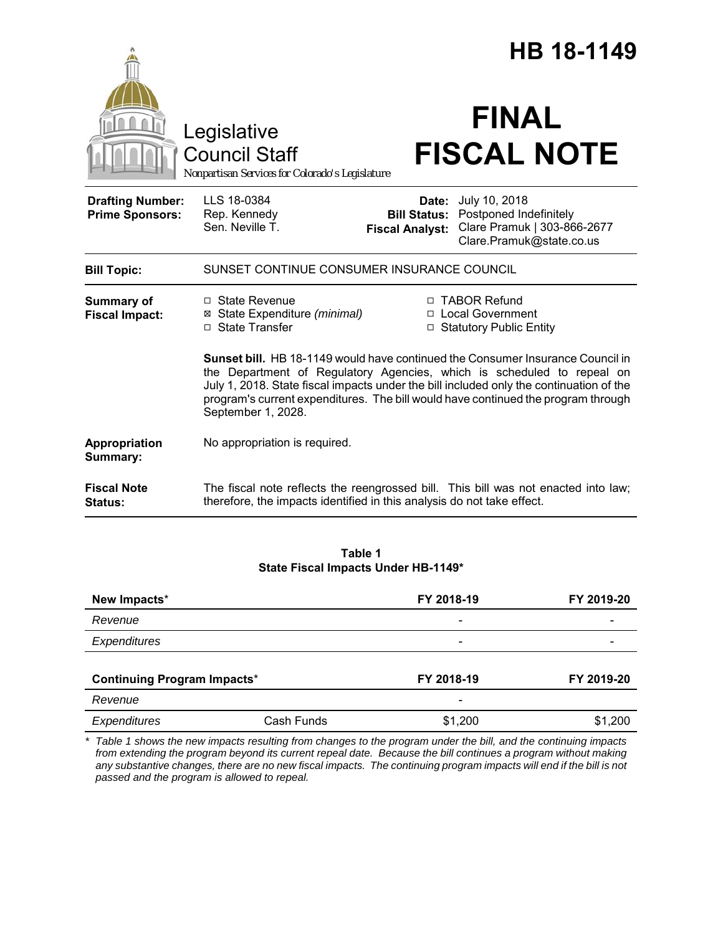|                                                   |                                                                                        |                                                        | HB 18-1149                                                                                                                                                                                                                                                                                                                                      |  |
|---------------------------------------------------|----------------------------------------------------------------------------------------|--------------------------------------------------------|-------------------------------------------------------------------------------------------------------------------------------------------------------------------------------------------------------------------------------------------------------------------------------------------------------------------------------------------------|--|
|                                                   | Legislative<br><b>Council Staff</b><br>Nonpartisan Services for Colorado's Legislature |                                                        | <b>FINAL</b><br><b>FISCAL NOTE</b>                                                                                                                                                                                                                                                                                                              |  |
| <b>Drafting Number:</b><br><b>Prime Sponsors:</b> | LLS 18-0384<br>Rep. Kennedy<br>Sen. Neville T.                                         | Date:<br><b>Bill Status:</b><br><b>Fiscal Analyst:</b> | July 10, 2018<br>Postponed Indefinitely<br>Clare Pramuk   303-866-2677<br>Clare.Pramuk@state.co.us                                                                                                                                                                                                                                              |  |
| <b>Bill Topic:</b>                                | SUNSET CONTINUE CONSUMER INSURANCE COUNCIL                                             |                                                        |                                                                                                                                                                                                                                                                                                                                                 |  |
| <b>Summary of</b><br><b>Fiscal Impact:</b>        | □ State Revenue<br>⊠ State Expenditure (minimal)<br>□ State Transfer                   |                                                        | □ TABOR Refund<br>□ Local Government<br>□ Statutory Public Entity                                                                                                                                                                                                                                                                               |  |
|                                                   | September 1, 2028.                                                                     |                                                        | <b>Sunset bill.</b> HB 18-1149 would have continued the Consumer Insurance Council in<br>the Department of Regulatory Agencies, which is scheduled to repeal on<br>July 1, 2018. State fiscal impacts under the bill included only the continuation of the<br>program's current expenditures. The bill would have continued the program through |  |
| Appropriation<br>Summary:                         | No appropriation is required.                                                          |                                                        |                                                                                                                                                                                                                                                                                                                                                 |  |
| <b>Fiscal Note</b><br>Status:                     | therefore, the impacts identified in this analysis do not take effect.                 |                                                        | The fiscal note reflects the reengrossed bill. This bill was not enacted into law;                                                                                                                                                                                                                                                              |  |

## **Table 1 State Fiscal Impacts Under HB-1149\***

| New Impacts*<br>Revenue            |            | FY 2018-19               | FY 2019-20 |
|------------------------------------|------------|--------------------------|------------|
|                                    |            | $\overline{\phantom{a}}$ |            |
| Expenditures                       |            | -                        |            |
| <b>Continuing Program Impacts*</b> |            | FY 2018-19               | FY 2019-20 |
| Revenue                            |            | $\overline{\phantom{a}}$ |            |
| Expenditures                       | Cash Funds | \$1,200                  | \$1,200    |

*\* Table 1 shows the new impacts resulting from changes to the program under the bill, and the continuing impacts from extending the program beyond its current repeal date. Because the bill continues a program without making any substantive changes, there are no new fiscal impacts. The continuing program impacts will end if the bill is not passed and the program is allowed to repeal.*